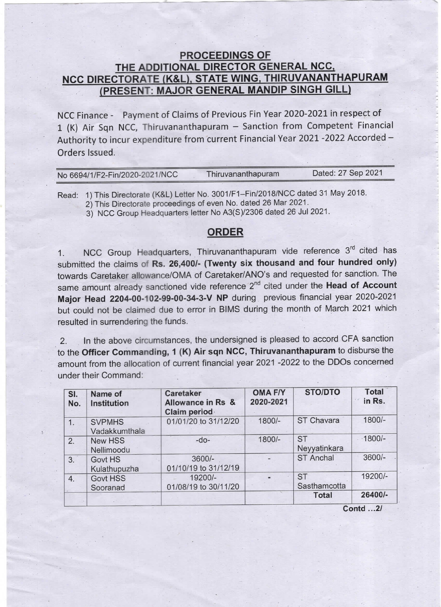## **PROCEEDINGS OF<br>THE ADDITIONAL DIRECTOR GENERAL NCC.** NCC DIRECTORATE (K&L), STATE WING, THIRUVANANTHAPURAM<br>(PRESENT: MAJOR GENERAL MANDIP SINGH GILL)

NCC Finance - Payment of Claims of Previous Fin Year 2020-2021 in respect of 1 (K) Air Sqn NCC, Thiruvananthapuram - Sanction from Competent Financial Authority to incur expenditure from current Financial Year 2021 -2022 Accorded -Orders Issued.

| No 6694/1/F2-Fin/2020-2021/NCC | Thiruvananthapuram | Dated: 27 Sep 2021 |
|--------------------------------|--------------------|--------------------|
|                                |                    |                    |

Read: 1) This Directorate (K&L) Letter No. 3001/F1-Fin/2018/NCC dated 31 May 2018.

2) This Directorate proceedings of even No. dated 26 Mar 2021.

3) NCC Group Headquarters letter No A3(S)/2306 dated 26 Jul 2021.

## ORDER

1. NCC Group Headquarters, Thiruvananthapuram vide reference 3<sup>rd</sup> cited has submitted the claims of Rs. 26,400/- (Twenty six thousand and four hundred only) towards Caretaker allowance/OMA of Caretaker/ANO's and requested for sanction. The same amount already sanctioned vide reference 2<sup>nd</sup> cited under the Head of Account Major Head 2204-00-102-99-00-34-3-V NP during previous financial year 2020-2021 but could not be claimed due to error in BIMS during the month of March 2021 which resulted in surrendering the funds.

2. In the above circumstances, the undersigned is pleased to accord CFA sanction to the Officer Commanding, 1 (K) Air sqn NCC, Thiruvananthapuram to disburse the amount from the allocation of current financial year 2021 -2022 to the DDOs concerned under their Command:

| SI.<br>No. | Name of<br>Institution         | <b>Caretaker</b><br>Allowance in Rs &<br>Claim period | <b>OMA F/Y</b><br>2020-2021 | <b>STO/DTO</b>            | <b>Total</b><br>in Rs. |
|------------|--------------------------------|-------------------------------------------------------|-----------------------------|---------------------------|------------------------|
| 1.         | <b>SVPMHS</b><br>Vadakkumthala | 01/01/20 to 31/12/20                                  | 1800/-                      | ST Chavara                | $1800/-$               |
| 2.         | <b>New HSS</b><br>Nellimoodu   | $-do-$                                                | 1800/-                      | <b>ST</b><br>Neyyatinkara | $-1800/-$              |
| 3.         | Govt HS<br>Kulathupuzha        | 3600/-<br>01/10/19 to 31/12/19                        |                             | <b>ST Anchal</b>          | $3600/-$               |
| 4.         | Govt HSS<br>Sooranad           | 19200/-<br>01/08/19 to 30/11/20                       |                             | <b>ST</b><br>Sasthamcotta | 19200/-                |
|            |                                |                                                       |                             | <b>Total</b>              | 26400/-                |
|            |                                |                                                       |                             | $Contd$ $2l$              |                        |